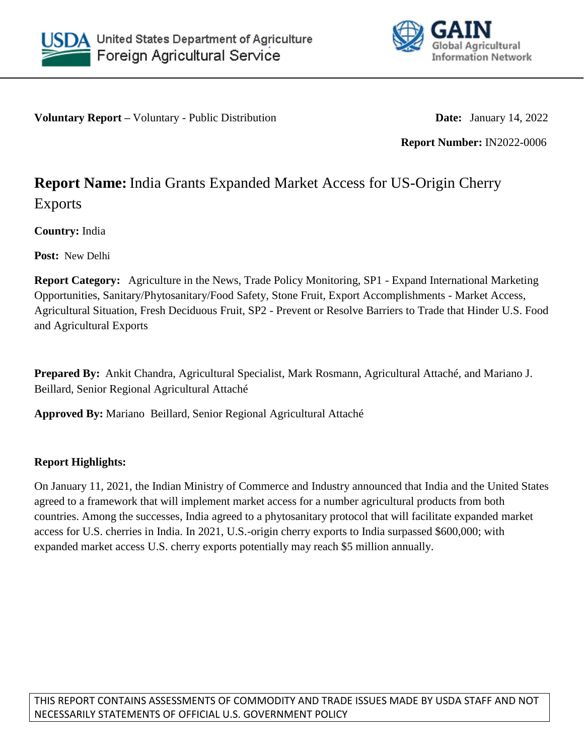



**Voluntary Report –** Voluntary - Public Distribution **Date:** January 14, 2022

**Report Number:** IN2022-0006

## **Report Name:** India Grants Expanded Market Access for US-Origin Cherry Exports

**Country:** India

**Post:** New Delhi

**Report Category:** Agriculture in the News, Trade Policy Monitoring, SP1 - Expand International Marketing Opportunities, Sanitary/Phytosanitary/Food Safety, Stone Fruit, Export Accomplishments - Market Access, Agricultural Situation, Fresh Deciduous Fruit, SP2 - Prevent or Resolve Barriers to Trade that Hinder U.S. Food and Agricultural Exports

**Prepared By:** Ankit Chandra, Agricultural Specialist, Mark Rosmann, Agricultural Attaché, and Mariano J. Beillard, Senior Regional Agricultural Attaché

**Approved By:** Mariano Beillard, Senior Regional Agricultural Attaché

## **Report Highlights:**

On January 11, 2021, the Indian Ministry of Commerce and Industry announced that India and the United States agreed to a framework that will implement market access for a number agricultural products from both countries. Among the successes, India agreed to a phytosanitary protocol that will facilitate expanded market access for U.S. cherries in India. In 2021, U.S.-origin cherry exports to India surpassed \$600,000; with expanded market access U.S. cherry exports potentially may reach \$5 million annually.